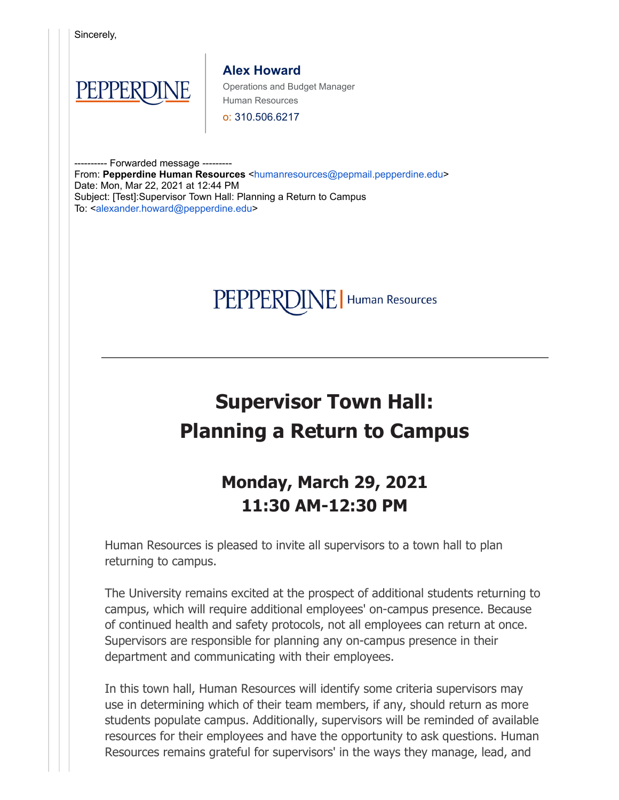PEPPERDINE | Human Resources

## **Supervisor Town Hall: Planning a Return to Campus**

## **Monday, March 29, 2021 11:30 AM-12:30 PM**

Human Resources is pleased to invite all supervisors to a town hall to plan returning to campus.

The University remains excited at the prospect of additional students returning to campus, which will require additional employees' on-campus presence. Because of continued health and safety protocols, not all employees can return at once. Supervisors are responsible for planning any on-campus presence in their department and communicating with their employees.

In this town hall, Human Resources will identify some criteria supervisors may use in determining which of their team members, if any, should return as more students populate campus. Additionally, supervisors will be reminded of available resources for their employees and have the opportunity to ask questions. Human Resources remains grateful for supervisors' in the ways they manage, lead, and